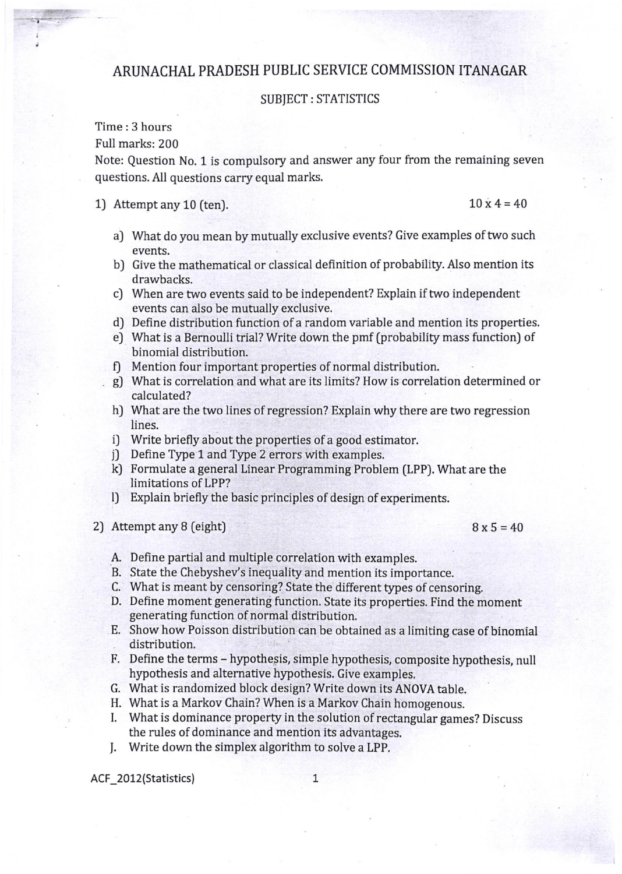## ARUNACHAL PRADESH PUBLIC SERVICE COMMISSION ITANAGAR

## SUBJECT : STATISTICS

Time : 3 hours

Full marks: 200

Note: Question No. 1 is compulsory and answer any four from the remaining seven questions. All questions carry equal marks.

## 1) Attempt any 10 (ten).  $10 \times 4 = 40$

- a) What do you mean by mutually exclusive events? Give examples of two such events.
- b) Give the mathematical or classical definition of probabllity. Also menrion its drawbacks.
- c] When are two events said to be independent? Explain if two independent events can also be mutually exclusive,
- d) Define distribution function of a random variable and mention its properties.
- e] What is a Bernoulli trial? Write down the pmf [probability mass function) of binomial distribution.
- f) Mention four important properties of normal distribution.
- g) What is correlation and what are its limits? How is correlation determined or calculated?
- h) What are the two lines of regression? Explain why there are two regression lines.
- i) Write briefly about the properties of a good estimator.<br>i) Define Type 1 and Type 2 errors with examples.
- 
- kJ Formulate a general Linear Programming Problem (LPP). What are the limitations of LPP?
- l) Explain briefly the basic principles of design of experiments.
- 2) Attempt any 8 (eight)  $8 \times 5 = 40$

- A. Define partial and multiple correlation with examples.
- B. State the Chebyshey's inequality and mention its importance.
- C. What is meant by censoring? State the different types of censoring.
- D. Define moment generating function. State its properties. Find the moment generating function of normal distribution.
- E. Show how Poisson distribution can be obtained as a limiting case of binomial distribution.
- F. Define the terms hypothesis, simple hypothesis, composite hypothesis, null hypothesis and alternative hypothesis. Give examples,
- G. What is randomized block design? Write down its ANOVA table.
- H. What is a Markov Chain? When is a Markov Chain homogenous.
- I. What is dominance property in the solution of rectangular games? Discuss the rules of dominance and mention its advantages.
- J. Write down the simplex algorithm to solve a LPP.

ACF\_2012(Statistics)